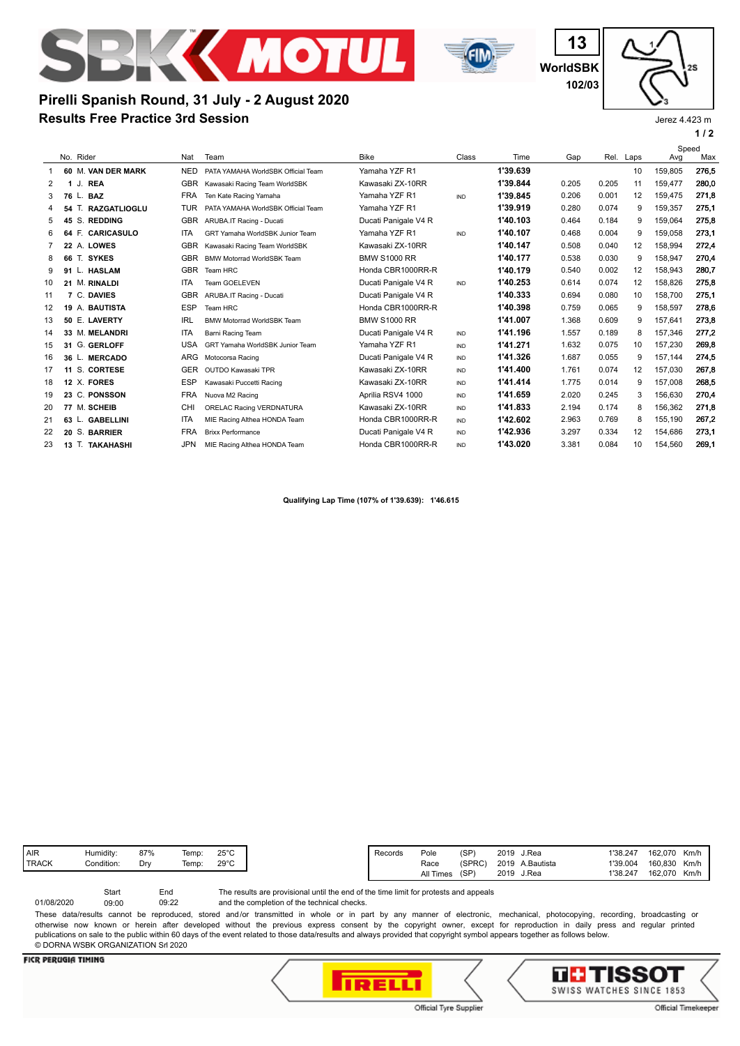



**WorldSBK 13 102/03**

**1 / 2** Jerez 4.423 m

## **Results Free Practice 3rd Session Pirelli Spanish Round, 31 July - 2 August 2020**

|                |                           |            |                                    |                      |       |          |       |       |           | Speed   |       |
|----------------|---------------------------|------------|------------------------------------|----------------------|-------|----------|-------|-------|-----------|---------|-------|
|                | No. Rider                 | Nat        | Team                               | Bike                 | Class | Time     | Gap   |       | Rel. Laps | Avg     | Max   |
|                | 60 M. VAN DER MARK        | <b>NED</b> | PATA YAMAHA WorldSBK Official Team | Yamaha YZF R1        |       | 1'39.639 |       |       | 10        | 159,805 | 276,5 |
| 2              | <b>REA</b><br>J.<br>1     | <b>GBR</b> | Kawasaki Racing Team WorldSBK      | Kawasaki ZX-10RR     |       | 1'39.844 | 0.205 | 0.205 | 11        | 159,477 | 280,0 |
| 3              | <b>BAZ</b><br>76<br>L.    | <b>FRA</b> | Ten Kate Racing Yamaha             | Yamaha YZF R1        | IND   | 1'39.845 | 0.206 | 0.001 | 12        | 159.475 | 271,8 |
| 4              | T. RAZGATLIOGLU<br>54     | <b>TUR</b> | PATA YAMAHA WorldSBK Official Team | Yamaha YZF R1        |       | 1'39.919 | 0.280 | 0.074 | 9         | 159.357 | 275.1 |
| 5              | S. REDDING<br>45          | <b>GBR</b> | ARUBA.IT Racing - Ducati           | Ducati Panigale V4 R |       | 1'40.103 | 0.464 | 0.184 | 9         | 159,064 | 275,8 |
| 6              | 64 F. CARICASULO          | <b>ITA</b> | GRT Yamaha WorldSBK Junior Team    | Yamaha YZF R1        | IND   | 1'40.107 | 0.468 | 0.004 | 9         | 159.058 | 273,1 |
| $\overline{7}$ | 22 A. LOWES               | <b>GBR</b> | Kawasaki Racing Team WorldSBK      | Kawasaki ZX-10RR     |       | 1'40.147 | 0.508 | 0.040 | 12        | 158.994 | 272,4 |
| 8              | Т.<br><b>SYKES</b><br>66  | <b>GBR</b> | <b>BMW Motorrad WorldSBK Team</b>  | <b>BMW S1000 RR</b>  |       | 1'40.177 | 0.538 | 0.030 | 9         | 158.947 | 270.4 |
| 9              | 91 L. HASLAM              | <b>GBR</b> | Team HRC                           | Honda CBR1000RR-R    |       | 1'40.179 | 0.540 | 0.002 | 12        | 158.943 | 280,7 |
| 10             | 21 M. RINALDI             | <b>ITA</b> | Team GOELEVEN                      | Ducati Panigale V4 R | IND   | 1'40.253 | 0.614 | 0.074 | 12        | 158.826 | 275,8 |
| 11             | 7 C. DAVIES               | <b>GBR</b> | ARUBA.IT Racing - Ducati           | Ducati Panigale V4 R |       | 1'40.333 | 0.694 | 0.080 | 10        | 158.700 | 275,1 |
| 12             | 19 A. BAUTISTA            | <b>ESP</b> | Team HRC                           | Honda CBR1000RR-R    |       | 1'40.398 | 0.759 | 0.065 | 9         | 158,597 | 278,6 |
| 13             | 50 E. LAVERTY             | <b>IRL</b> | <b>BMW Motorrad WorldSBK Team</b>  | <b>BMW S1000 RR</b>  |       | 1'41.007 | 1.368 | 0.609 | 9         | 157.641 | 273,8 |
| 14             | 33 M. MELANDRI            | <b>ITA</b> | Barni Racing Team                  | Ducati Panigale V4 R | IND   | 1'41.196 | 1.557 | 0.189 | 8         | 157.346 | 277,2 |
| 15             | 31 G. GERLOFF             | <b>USA</b> | GRT Yamaha WorldSBK Junior Team    | Yamaha YZF R1        | IND   | 1'41.271 | 1.632 | 0.075 | 10        | 157,230 | 269.8 |
| 16             | 36 L. MERCADO             | ARG        | Motocorsa Racing                   | Ducati Panigale V4 R | IND   | 1'41.326 | 1.687 | 0.055 | 9         | 157.144 | 274,5 |
| 17             | 11 S. CORTESE             | <b>GER</b> | <b>OUTDO Kawasaki TPR</b>          | Kawasaki ZX-10RR     | IND   | 1'41.400 | 1.761 | 0.074 | 12        | 157,030 | 267,8 |
| 18             | 12 X. FORES               | <b>ESP</b> | Kawasaki Puccetti Racing           | Kawasaki ZX-10RR     | IND   | 1'41.414 | 1.775 | 0.014 | 9         | 157.008 | 268,5 |
| 19             | 23 C. PONSSON             | <b>FRA</b> | Nuova M2 Racing                    | Aprilia RSV4 1000    | IND   | 1'41.659 | 2.020 | 0.245 | 3         | 156,630 | 270,4 |
| 20             | 77 M. SCHEIB              | <b>CHI</b> | ORELAC Racing VERDNATURA           | Kawasaki ZX-10RR     | IND   | 1'41.833 | 2.194 | 0.174 | 8         | 156,362 | 271,8 |
| 21             | <b>GABELLINI</b><br>63 L. | <b>ITA</b> | MIE Racing Althea HONDA Team       | Honda CBR1000RR-R    | IND   | 1'42.602 | 2.963 | 0.769 | 8         | 155.190 | 267,2 |
| 22             | 20 S. BARRIER             | <b>FRA</b> | <b>Brixx Performance</b>           | Ducati Panigale V4 R | IND   | 1'42.936 | 3.297 | 0.334 | 12        | 154,686 | 273,1 |
| 23             | 13 T. TAKAHASHI           | <b>JPN</b> | MIE Racing Althea HONDA Team       | Honda CBR1000RR-R    | IND   | 1'43.020 | 3.381 | 0.084 | 10        | 154,560 | 269.1 |
|                |                           |            |                                    |                      |       |          |       |       |           |         |       |

**Qualifying Lap Time (107% of 1'39.639): 1'46.615**

| <b>AIR</b>     | Humidity:  | 87% | Temp: | $25^{\circ}$ C |
|----------------|------------|-----|-------|----------------|
| <b>I TRACK</b> | Condition: | υm  | Temp: | $29^{\circ}$ C |
|                |            |     |       |                |

and the completion of the technical checks. The results are provisional until the end of the time limit for protests and appeals 09:22 Start End 01/08/2020 09:00

These data/results cannot be reproduced, stored and/or transmitted in whole or in part by any manner of electronic, mechanical, photocopying, recording, broadcasting or otherwise now known or herein after developed without the previous express consent by the copyright owner, except for reproduction in daily press and regular printed publications on sale to the public within 60 days of the event related to those data/results and always provided that copyright symbol appears together as follows below. © DORNA WSBK ORGANIZATION Srl 2020

## **FICR PERUGIA TIMING**





Official Timekeeper